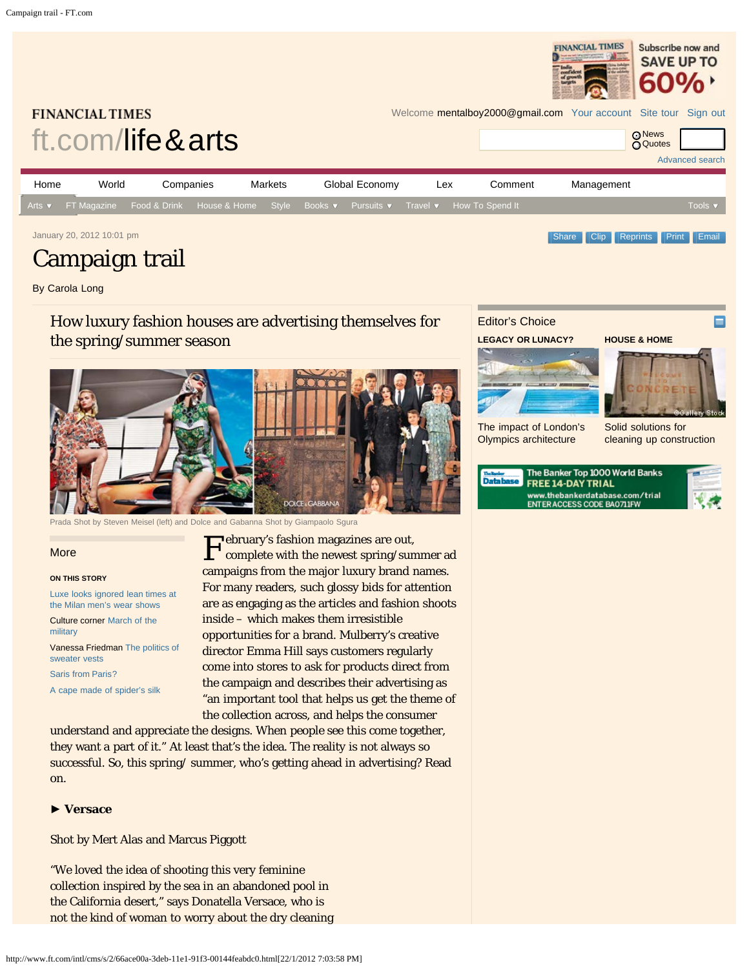<span id="page-0-0"></span>

By Carola Long

# How luxury fashion houses are advertising themselves for the spring/summer season



Prada Shot by Steven Meisel (left) and Dolce and Gabanna Shot by Giampaolo Sgura

More

#### **ON THIS STORY**

[Luxe looks ignored lean times at](http://www.ft.com/cms/s/2/6a794ce6-41f1-11e1-a1bf-00144feab49a.html) [the Milan men's wear shows](http://www.ft.com/cms/s/2/6a794ce6-41f1-11e1-a1bf-00144feab49a.html)

Culture corner [March of the](http://www.ft.com/cms/s/2/ba7d8a74-3c9a-11e1-8d38-00144feabdc0.html) [military](http://www.ft.com/cms/s/2/ba7d8a74-3c9a-11e1-8d38-00144feabdc0.html)

Vanessa Friedman [The politics of](http://www.ft.com/cms/s/2/b5d0470c-3d47-11e1-8129-00144feabdc0.html) [sweater vests](http://www.ft.com/cms/s/2/b5d0470c-3d47-11e1-8129-00144feabdc0.html)

[Saris from Paris?](http://www.ft.com/cms/s/2/6547b042-2a76-11e1-9bdb-00144feabdc0.html)

[A cape made of spider's silk](http://www.ft.com/cms/s/2/7483087e-3861-11e1-9d07-00144feabdc0.html)

**F** ebruary's fashion magazines are out,<br>complete with the newest spring/sur complete with the newest spring/summer ad campaigns from the major luxury brand names. For many readers, such glossy bids for attention are as engaging as the articles and fashion shoots inside – which makes them irresistible opportunities for a brand. Mulberry's creative director Emma Hill says customers regularly come into stores to ask for products direct from the campaign and describes their advertising as "an important tool that helps us get the theme of the collection across, and helps the consumer

understand and appreciate the designs. When people see this come together, they want a part of it." At least that's the idea. The reality is not always so successful. So, this spring/ summer, who's getting ahead in advertising? Read on.

#### ► **Versace**

Shot by Mert Alas and Marcus Piggott

"We loved the idea of shooting this very feminine collection inspired by the sea in an abandoned pool in the California desert," says Donatella Versace, who is not the kind of woman to worry about the dry cleaning

# Editor's Choice

**LEGACY OR LUNACY?**





П

[The impact of London's](http://www.ft.com/cms/s/2/0e46376c-4071-11e1-8fcd-00144feab49a.html) [Olympics architecture](http://www.ft.com/cms/s/2/0e46376c-4071-11e1-8fcd-00144feab49a.html)

[Solid solutions for](http://www.ft.com/cms/s/2/ad4e9fd0-3d05-11e1-ae07-00144feabdc0.html) [cleaning up construction](http://www.ft.com/cms/s/2/ad4e9fd0-3d05-11e1-ae07-00144feabdc0.html)

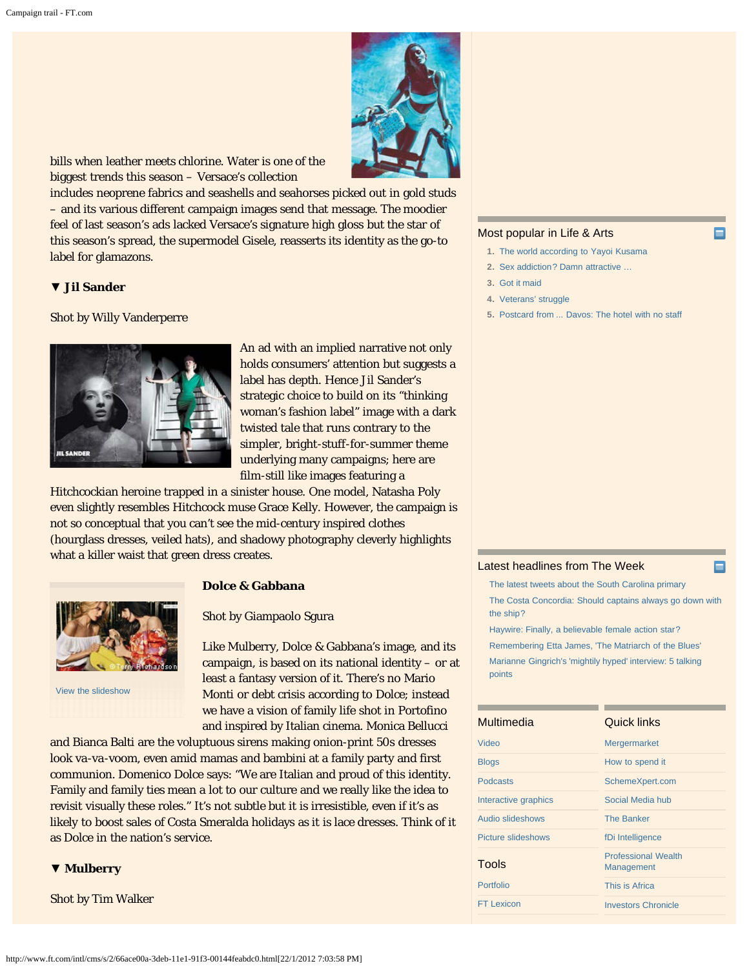

bills when leather meets chlorine. Water is one of the biggest trends this season – Versace's collection

includes neoprene fabrics and seashells and seahorses picked out in gold studs – and its various different campaign images send that message. The moodier feel of last season's ads lacked Versace's signature high gloss but the star of this season's spread, the supermodel Gisele, reasserts its identity as the go-to label for glamazons.

### ▼ **Jil Sander**

Shot by Willy Vanderperre



An ad with an implied narrative not only holds consumers' attention but suggests a label has depth. Hence Jil Sander's strategic choice to build on its "thinking woman's fashion label" image with a dark twisted tale that runs contrary to the simpler, bright-stuff-for-summer theme underlying many campaigns; here are film-still like images featuring a

Hitchcockian heroine trapped in a sinister house. One model, Natasha Poly even slightly resembles Hitchcock muse Grace Kelly. However, the campaign is not so conceptual that you can't see the mid-century inspired clothes (hourglass dresses, veiled hats), and shadowy photography cleverly highlights what a killer waist that green dress creates.



[View the slideshow](http://www.ft.com/intl/cms/s/2/f7393d4e-4273-11e1-97b1-00144feab49a.html)

## **Dolce & Gabbana**

#### Shot by Giampaolo Sgura

Like Mulberry, Dolce & Gabbana's image, and its campaign, is based on its national identity – or at least a fantasy version of it. There's no Mario Monti or debt crisis according to Dolce; instead we have a vision of family life shot in Portofino and inspired by Italian cinema. Monica Bellucci

and Bianca Balti are the voluptuous sirens making onion-print 50s dresses look va-va-voom, even amid mamas and bambini at a family party and first communion. Domenico Dolce says: "We are Italian and proud of this identity. Family and family ties mean a lot to our culture and we really like the idea to revisit visually these roles." It's not subtle but it is irresistible, even if it's as likely to boost sales of Costa Smeralda holidays as it is lace dresses. Think of it as Dolce in the nation's service.

### ▼ **Mulberry**

Shot by Tim Walker

#### Most popular in Life & Arts

- **1.** [The world according to Yayoi Kusama](http://www.ft.com/intl/cms/s/2/52ab168a-4188-11e1-8c33-00144feab49a.html)
- **2.** [Sex addiction? Damn attractive …](http://www.ft.com/intl/cms/s/2/ada439e0-4188-11e1-8c33-00144feab49a.html)
- **3.** [Got it maid](http://www.ft.com/intl/cms/s/2/33f715c6-3df6-11e1-91f3-00144feabdc0.html)
- **4.** [Veterans' struggle](http://www.ft.com/intl/cms/s/2/06863a6e-4188-11e1-8c33-00144feab49a.html)
- **5.** [Postcard from ... Davos: The hotel with no staff](http://www.ft.com/intl/cms/s/2/aeb67302-4039-11e1-82f6-00144feab49a.html)

#### [Latest headlines from The Week](http://theweek.com/)

[The latest tweets about the South Carolina primary](http://theweek.com/article/index/223561/the-latest-tweets-about-the-south-carolina-primary) [The Costa Concordia: Should captains always go down with](http://theweek.com/article/index/223571/the-costa-concordia-should-captains-always-go-down-with-the-ship) [the ship?](http://theweek.com/article/index/223571/the-costa-concordia-should-captains-always-go-down-with-the-ship) [Haywire: Finally, a believable female action star?](http://theweek.com/article/index/223563/haywire-finally-a-believable-female-action-star)

[Remembering Etta James, 'The Matriarch of the Blues'](http://theweek.com/article/index/223570/remembering-etta-james-the-matriarch-of-the-blues) [Marianne Gingrich's 'mightily hyped' interview: 5 talking](http://theweek.com/article/index/223564/marianne-gingrichs-mightily-hyped-interview-5-talking-points) [points](http://theweek.com/article/index/223564/marianne-gingrichs-mightily-hyped-interview-5-talking-points)

| Multimedia                | Quick links                                     |
|---------------------------|-------------------------------------------------|
| Video                     | <b>Mergermarket</b>                             |
| <b>Blogs</b>              | How to spend it                                 |
| <b>Podcasts</b>           | SchemeXpert.com                                 |
| Interactive graphics      | Social Media hub                                |
| Audio slideshows          | <b>The Banker</b>                               |
| <b>Picture slideshows</b> | fDi Intelligence                                |
| Tools                     | <b>Professional Wealth</b><br><b>Management</b> |
| Portfolio                 | This is Africa                                  |
| <b>FT Lexicon</b>         | <b>Investors Chronicle</b>                      |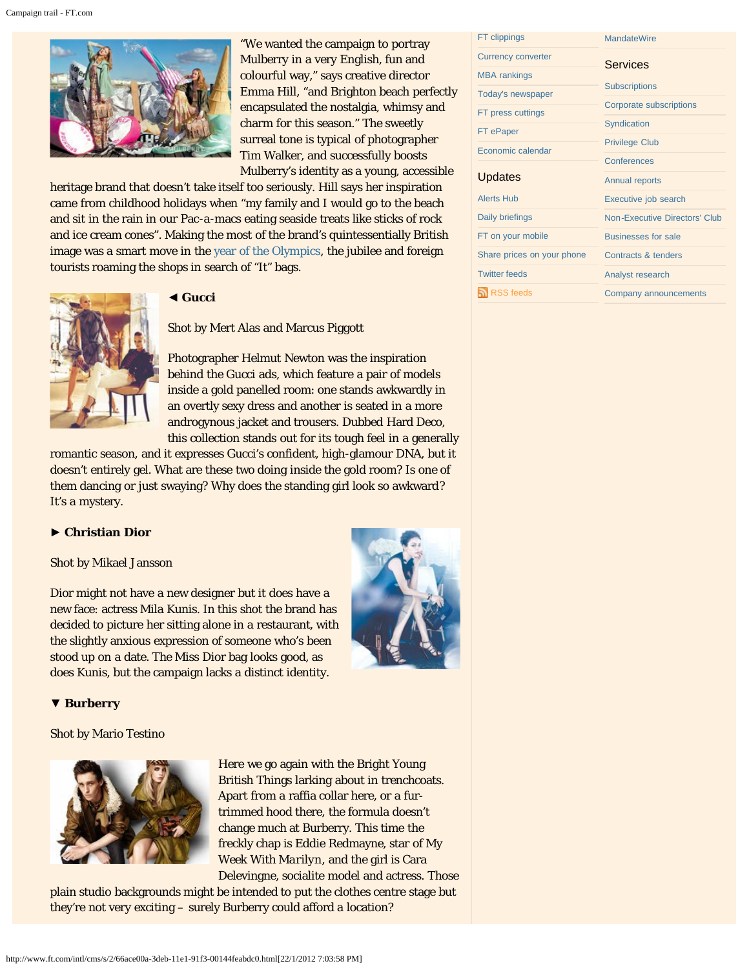

"We wanted the campaign to portray Mulberry in a very English, fun and colourful way," says creative director Emma Hill, "and Brighton beach perfectly encapsulated the nostalgia, whimsy and charm for this season." The sweetly surreal tone is typical of photographer Tim Walker, and successfully boosts Mulberry's identity as a young, accessible

heritage brand that doesn't take itself too seriously. Hill says her inspiration came from childhood holidays when "my family and I would go to the beach and sit in the rain in our Pac-a-macs eating seaside treats like sticks of rock and ice cream cones". Making the most of the brand's quintessentially British image was a smart move in the [year of the Olympics](http://www.ft.com/intl/london-2012-olympics), the jubilee and foreign tourists roaming the shops in search of "It" bags.



## ◄ **Gucci**

Shot by Mert Alas and Marcus Piggott

Photographer Helmut Newton was the inspiration behind the Gucci ads, which feature a pair of models inside a gold panelled room: one stands awkwardly in an overtly sexy dress and another is seated in a more androgynous jacket and trousers. Dubbed Hard Deco, this collection stands out for its tough feel in a generally

romantic season, and it expresses Gucci's confident, high-glamour DNA, but it doesn't entirely gel. What are these two doing inside the gold room? Is one of them dancing or just swaying? Why does the standing girl look so awkward? It's a mystery.

## ► **Christian Dior**

Shot by Mikael Jansson

Dior might not have a new designer but it does have a new face: actress Mila Kunis. In this shot the brand has decided to picture her sitting alone in a restaurant, with the slightly anxious expression of someone who's been stood up on a date. The Miss Dior bag looks good, as does Kunis, but the campaign lacks a distinct identity.



## ▼ **Burberry**

Shot by Mario Testino



Here we go again with the Bright Young British Things larking about in trenchcoats. Apart from a raffia collar here, or a furtrimmed hood there, the formula doesn't change much at Burberry. This time the freckly chap is Eddie Redmayne, star of *My Week With Marilyn*, and the girl is Cara Delevingne, socialite model and actress. Those

plain studio backgrounds might be intended to put the clothes centre stage but they're not very exciting – surely Burberry could afford a location?

| FT clippings               | <b>MandateWire</b>            |
|----------------------------|-------------------------------|
| <b>Currency converter</b>  | Services                      |
| <b>MBA</b> rankings        |                               |
| Today's newspaper          | <b>Subscriptions</b>          |
| FT press cuttings          | Corporate subscriptions       |
| FT ePaper                  | Syndication                   |
| Economic calendar          | <b>Privilege Club</b>         |
|                            | Conferences                   |
| Updates                    | <b>Annual reports</b>         |
| <b>Alerts Hub</b>          | Executive job search          |
| Daily briefings            | Non-Executive Directors' Club |
| FT on your mobile          | <b>Businesses for sale</b>    |
| Share prices on your phone | Contracts & tenders           |
| <b>Twitter feeds</b>       | Analyst research              |
| <b>RSS feeds</b>           | Company announcements         |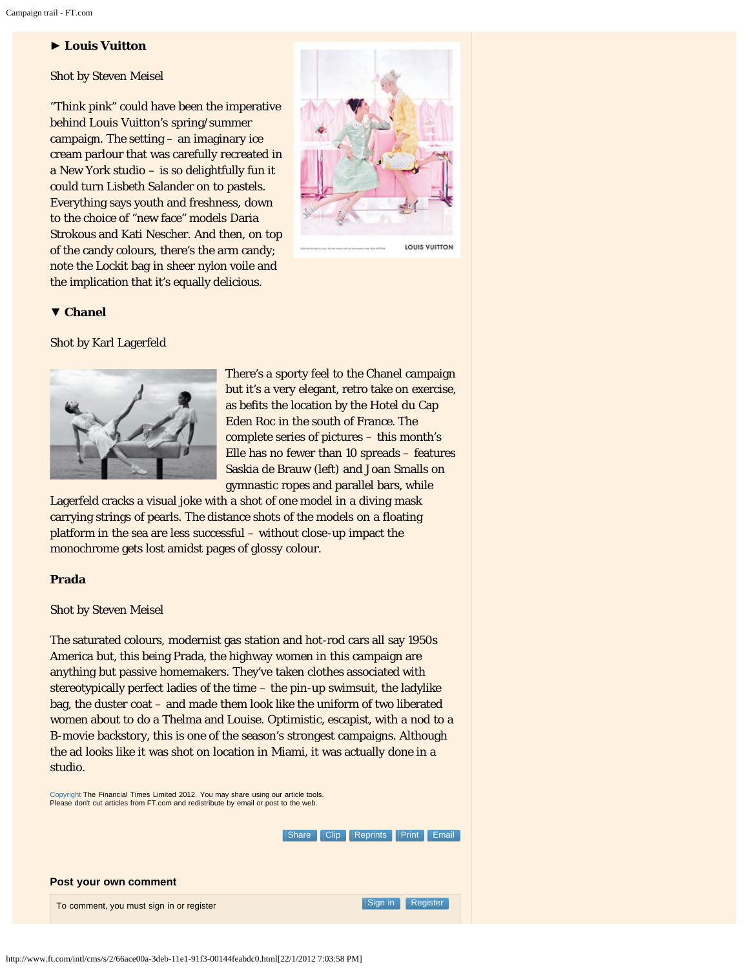## ► **Louis Vuitton**

Shot by Steven Meisel

"Think pink" could have been the imperative behind Louis Vuitton's spring/summer campaign. The setting – an imaginary ice cream parlour that was carefully recreated in a New York studio – is so delightfully fun it could turn Lisbeth Salander on to pastels. Everything says youth and freshness, down to the choice of "new face" models Daria Strokous and Kati Nescher. And then, on top of the candy colours, there's the arm candy; note the Lockit bag in sheer nylon voile and the implication that it's equally delicious.



LOUIS VUITTON

### ▼ **Chanel**

Shot by Karl Lagerfeld



There's a sporty feel to the Chanel campaign but it's a very elegant, retro take on exercise, as befits the location by the Hotel du Cap Eden Roc in the south of France. The complete series of pictures – this month's Elle has no fewer than 10 spreads – features Saskia de Brauw (left) and Joan Smalls on gymnastic ropes and parallel bars, while

Lagerfeld cracks a visual joke with a shot of one model in a diving mask carrying strings of pearls. The distance shots of the models on a floating platform in the sea are less successful – without close-up impact the monochrome gets lost amidst pages of glossy colour.

### **Prada**

### Shot by Steven Meisel

The saturated colours, modernist gas station and hot-rod cars all say 1950s America but, this being Prada, the highway women in this campaign are anything but passive homemakers. They've taken clothes associated with stereotypically perfect ladies of the time – the pin-up swimsuit, the ladylike bag, the duster coat – and made them look like the uniform of two liberated women about to do a Thelma and Louise. Optimistic, escapist, with a nod to a B-movie backstory, this is one of the season's strongest campaigns. Although the ad looks like it was shot on location in Miami, it was actually done in a studio.

[Copyright](http://www.ft.com/servicestools/help/copyright) The Financial Times Limited 2012. You may share using our article tools. Please don't cut articles from FT.com and redistribute by email or post to the web.

> [Clip](https://registration.ft.com/registration/barrier?location=http%3A%2F%2Fwww.ft.com%2Fcms%2Fs%2F2%2F66ace00a-3deb-11e1-91f3-00144feabdc0.html%23showclipthis) [Reprints](http://storytools.ft.com/storyTools/reprintOrRepublish.html?uuid=66ace00a-3deb-11e1-91f3-00144feabdc0) [Print](#page-0-0) [Email](#page-0-0) [Share](#page-0-0)

| Post your own comment                    |                  |  |
|------------------------------------------|------------------|--|
| To comment, you must sign in or register | Sign in Register |  |